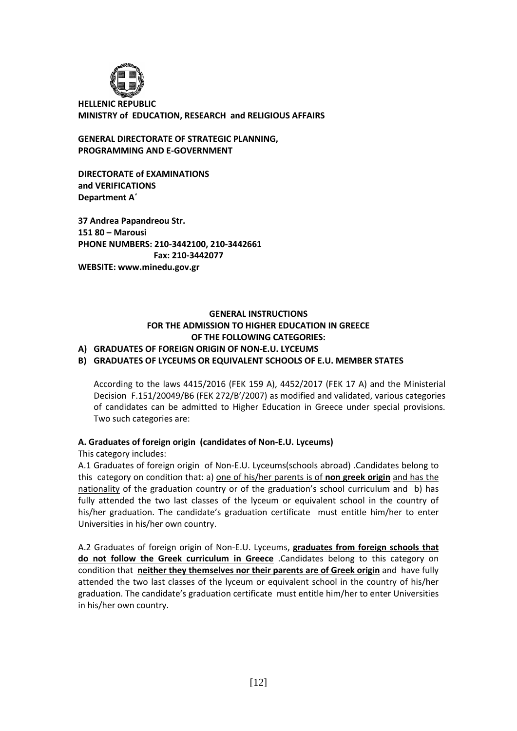

**HELLENIC REPUBLIC MINISTRY of EDUCATION, RESEARCH and RELIGIOUS AFFAIRS**

**GENERAL DIRECTORATE OF STRATEGIC PLANNING, PROGRAMMING AND E-GOVERNMENT**

**DIRECTORATE of EXAMINATIONS and VERIFICATIONS Department A΄**

**37 Andrea Papandreou Str. 151 80 – Marousi PHONE NUMBERS: 210-3442100, 210-3442661 Fax: 210-3442077 WEBSITE: www.minedu.gov.gr**

## **GENERAL INSTRUCTIONS FOR THE ADMISSION TO HIGHER EDUCATION IN GREECE OF THE FOLLOWING CATEGORIES:**

## **A) GRADUATES OF FOREIGN ORIGIN OF NON-E.U. LYCEUMS**

### **B) GRADUATES OF LYCEUMS OR EQUIVALENT SCHOOLS OF E.U. MEMBER STATES**

According to the laws 4415/2016 (FEK 159 A), 4452/2017 (FEK 17 A) and the Ministerial Decision F.151/20049/B6 (FEK 272/B'/2007) as modified and validated, various categories of candidates can be admitted to Higher Education in Greece under special provisions. Two such categories are:

#### **A. Graduates of foreign origin (candidates of Non-E.U. Lyceums)**

#### This category includes:

A.1 Graduates of foreign origin of Non-E.U. Lyceums(schools abroad) .Candidates belong to this category on condition that: a) one of his/her parents is of **non greek origin** and has the nationality of the graduation country or of the graduation's school curriculum and b) has fully attended the two last classes of the lyceum or equivalent school in the country of his/her graduation. The candidate's graduation certificate must entitle him/her to enter Universities in his/her own country.

A.2 Graduates of foreign origin of Non-E.U. Lyceums, **graduates from foreign schools that do not follow the Greek curriculum in Greece** .Candidates belong to this category on condition that **neither they themselves nor their parents are of Greek origin** and have fully attended the two last classes of the lyceum or equivalent school in the country of his/her graduation. The candidate's graduation certificate must entitle him/her to enter Universities in his/her own country.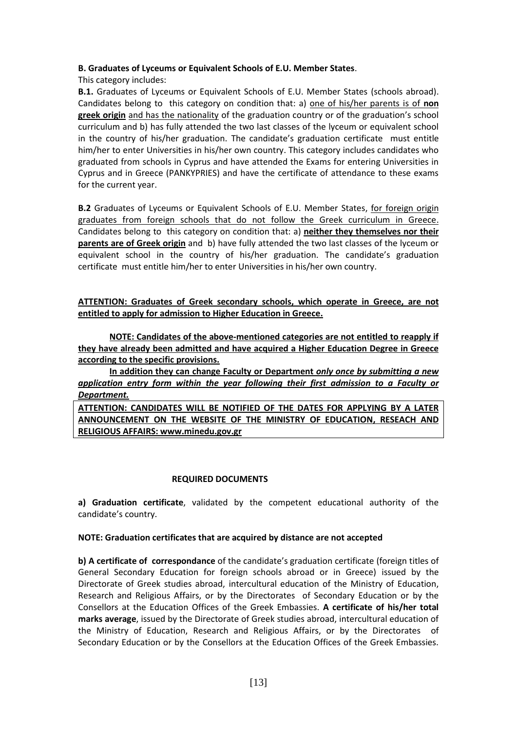### **B. Graduates of Lyceums or Equivalent Schools of E.U. Member States**.

This category includes:

**B.1.** Graduates of Lyceums or Equivalent Schools of E.U. Member States (schools abroad). Candidates belong to this category on condition that: a) one of his/her parents is of **non greek origin** and has the nationality of the graduation country or of the graduation's school curriculum and b) has fully attended the two last classes of the lyceum or equivalent school in the country of his/her graduation. The candidate's graduation certificate must entitle him/her to enter Universities in his/her own country. This category includes candidates who graduated from schools in Cyprus and have attended the Exams for entering Universities in Cyprus and in Greece (PANKYPRIES) and have the certificate of attendance to these exams for the current year.

**B.2** Graduates of Lyceums or Equivalent Schools of E.U. Member States, for foreign origin graduates from foreign schools that do not follow the Greek curriculum in Greece. Candidates belong to this category on condition that: a) **neither they themselves nor their parents are of Greek origin** and b) have fully attended the two last classes of the lyceum or equivalent school in the country of his/her graduation. The candidate's graduation certificate must entitle him/her to enter Universities in his/her own country.

## **ATTENTION: Graduates of Greek secondary schools, which operate in Greece, are not entitled to apply for admission to Higher Education in Greece.**

**NOTE: Candidates of the above-mentioned categories are not entitled to reapply if they have already been admitted and have acquired a Higher Education Degree in Greece according to the specific provisions.**

**In addition they can change Faculty or Department** *only once by submitting a new application entry form within the year following their first admission to a Faculty or Department.*

**ATTENTION: CANDIDATES WILL BE NOTIFIED OF THE DATES FOR APPLYING BY A LATER ANNOUNCEMENT ON THE WEBSITE OF THE MINISTRY OF EDUCATION, RESEACH AND RELIGIOUS AFFAIRS: www.minedu.gov.gr**

## **REQUIRED DOCUMENTS**

**a) Graduation certificate**, validated by the competent educational authority of the candidate's country.

#### **NOTE: Graduation certificates that are acquired by distance are not accepted**

**b) A certificate of correspondance** of the candidate's graduation certificate (foreign titles of General Secondary Education for foreign schools abroad or in Greece) issued by the Directorate of Greek studies abroad, intercultural education of the Ministry of Education, Research and Religious Affairs, or by the Directorates of Secondary Education or by the Consellors at the Education Offices of the Greek Embassies. **A certificate of his/her total marks average**, issued by the Directorate of Greek studies abroad, intercultural education of the Ministry of Education, Research and Religious Affairs, or by the Directorates of Secondary Education or by the Consellors at the Education Offices of the Greek Embassies.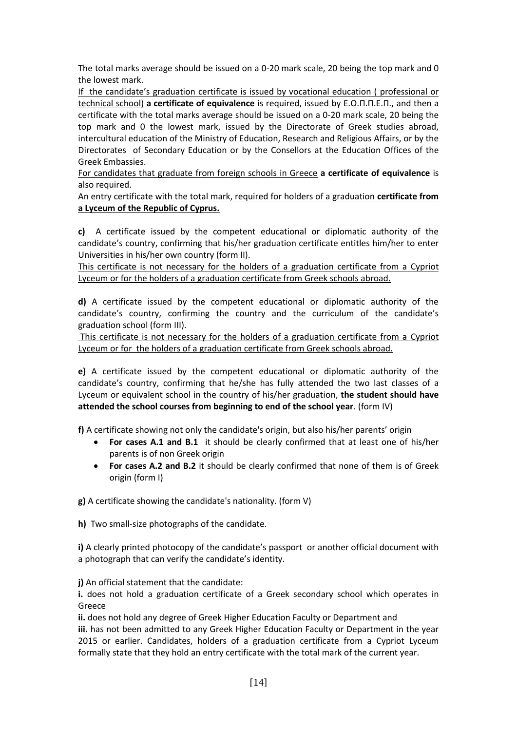The total marks average should be issued on a 0-20 mark scale, 20 being the top mark and 0 the lowest mark.

If the candidate's graduation certificate is issued by vocational education ( professional or technical school) **a certificate of equivalence** is required, issued by E.O.Π.Π.Ε.Π., and then a certificate with the total marks average should be issued on a 0-20 mark scale, 20 being the top mark and 0 the lowest mark, issued by the Directorate of Greek studies abroad, intercultural education of the Ministry of Education, Research and Religious Affairs, or by the Directorates of Secondary Education or by the Consellors at the Education Offices of the Greek Embassies.

For candidates that graduate from foreign schools in Greece **a certificate of equivalence** is also required.

An entry certificate with the total mark, required for holders of a graduation **certificate from a Lyceum of the Republic of Cyprus.**

**c)** A certificate issued by the competent educational or diplomatic authority of the candidate's country, confirming that his/her graduation certificate entitles him/her to enter Universities in his/her own country (form II).

This certificate is not necessary for the holders of a graduation certificate from a Cypriot Lyceum or for the holders of a graduation certificate from Greek schools abroad.

**d)** A certificate issued by the competent educational or diplomatic authority of the candidate's country, confirming the country and the curriculum of the candidate's graduation school (form III).

This certificate is not necessary for the holders of a graduation certificate from a Cypriot Lyceum or for the holders of a graduation certificate from Greek schools abroad.

**e)** A certificate issued by the competent educational or diplomatic authority of the candidate's country, confirming that he/she has fully attended the two last classes of a Lyceum or equivalent school in the country of his/her graduation, **the student should have attended the school courses from beginning to end of the school year**. (form IV)

**f)** A certificate showing not only the candidate's origin, but also his/her parents' origin

- **For cases A.1 and B.1** it should be clearly confirmed that at least one of his/her parents is of non Greek origin
- **For cases A.2 and B.2** it should be clearly confirmed that none of them is of Greek origin (form I)

**g)** A certificate showing the candidate's nationality. (form V)

**h)** Two small-size photographs of the candidate.

**i)** A clearly printed photocopy of the candidate's passport or another official document with a photograph that can verify the candidate's identity.

**j)** An official statement that the candidate:

**i.** does not hold a graduation certificate of a Greek secondary school which operates in Greece

**ii.** does not hold any degree of Greek Higher Education Faculty or Department and **iii.** has not been admitted to any Greek Higher Education Faculty or Department in the year 2015 or earlier. Candidates, holders of a graduation certificate from a Cypriot Lyceum formally state that they hold an entry certificate with the total mark of the current year.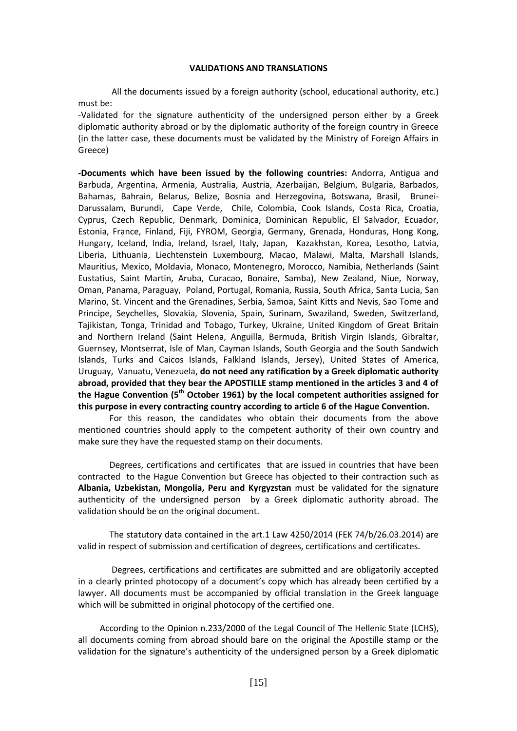#### **VALIDATIONS AND TRANSLATIONS**

All the documents issued by a foreign authority (school, educational authority, etc.) must be:

-Validated for the signature authenticity of the undersigned person either by a Greek diplomatic authority abroad or by the diplomatic authority of the foreign country in Greece (in the latter case, these documents must be validated by the Ministry of Foreign Affairs in Greece)

**-Documents which have been issued by the following countries:** Andorra, Antigua and Barbuda, Argentina, Armenia, Australia, Austria, Azerbaijan, Belgium, Bulgaria, Barbados, Bahamas, Bahrain, Belarus, Belize, Bosnia and Herzegovina, Botswana, Brasil, Brunei-Darussalam, Burundi, Cape Verde, Chile, Colombia, Cook Islands, Costa Rica, Croatia, Cyprus, Czech Republic, Denmark, Dominica, Dominican Republic, El Salvador, Ecuador, Estonia, France, Finland, Fiji, FYROM, Georgia, Germany, Grenada, Honduras, Hong Kong, Hungary, Iceland, India, Ireland, Israel, Italy, Japan, Kazakhstan, Korea, Lesotho, Latvia, Liberia, Lithuania, Liechtenstein Luxembourg, Macao, Malawi, Malta, Marshall Islands, Mauritius, Mexico, Moldavia, Monaco, Montenegro, Morocco, Namibia, Netherlands (Saint Eustatius, Saint Martin, Aruba, Curacao, Bonaire, Samba), New Zealand, Niue, Norway, Oman, Panama, Paraguay, Poland, Portugal, Romania, Russia, South Africa, Santa Lucia, San Marino, St. Vincent and the Grenadines, Serbia, Samoa, Saint Kitts and Nevis, Sao Tome and Principe, Seychelles, Slovakia, Slovenia, Spain, Surinam, Swaziland, Sweden, Switzerland, Tajikistan, Tonga, Trinidad and Tobago, Turkey, Ukraine, United Kingdom of Great Britain and Northern Ireland (Saint Helena, Anguilla, Bermuda, British Virgin Islands, Gibraltar, Guernsey, Montserrat, Isle of Man, Cayman Islands, South Georgia and the South Sandwich Islands, Turks and Caicos Islands, Falkland Islands, Jersey), United States of America, Uruguay, Vanuatu, Venezuela, **do not need any ratification by a Greek diplomatic authority abroad, provided that they bear the APOSTILLE stamp mentioned in the articles 3 and 4 of the Hague Convention (5th October 1961) by the local competent authorities assigned for this purpose in every contracting country according to article 6 of the Hague Convention.** 

For this reason, the candidates who obtain their documents from the above mentioned countries should apply to the competent authority of their own country and make sure they have the requested stamp on their documents.

Degrees, certifications and certificates that are issued in countries that have been contractedto the Hague Convention but Greece has objected to their contraction such as **Albania, Uzbekistan, Mongolia, Peru and Kyrgyzstan** must be validated for the signature authenticity of the undersigned person by a Greek diplomatic authority abroad. The validation should be on the original document.

The statutory data contained in the art.1 Law 4250/2014 (FEK 74/b/26.03.2014) are valid in respect of submission and certification of degrees, certifications and certificates.

Degrees, certifications and certificates are submitted and are obligatorily accepted in a clearly printed photocopy of a document's copy which has already been certified by a lawyer. All documents must be accompanied by official translation in the Greek language which will be submitted in original photocopy of the certified one.

 According to the Opinion n.233/2000 of the Legal Council of The Hellenic State (LCHS), all documents coming from abroad should bare on the original the Apostille stamp or the validation for the signature's authenticity of the undersigned person by a Greek diplomatic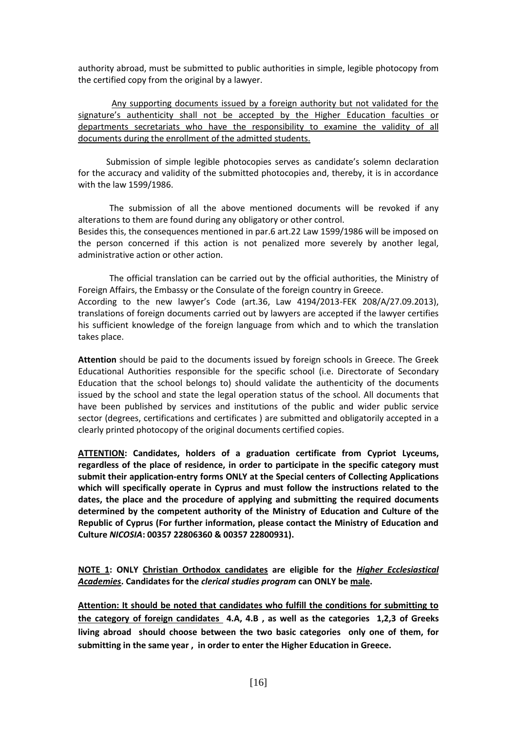authority abroad, must be submitted to public authorities in simple, legible photocopy from the certified copy from the original by a lawyer.

Any supporting documents issued by a foreign authority but not validated for the signature's authenticity shall not be accepted by the Higher Education faculties or departments secretariats who have the responsibility to examine the validity of all documents during the enrollment of the admitted students.

 Submission of simple legible photocopies serves as candidate's solemn declaration for the accuracy and validity of the submitted photocopies and, thereby, it is in accordance with the law 1599/1986.

The submission of all the above mentioned documents will be revoked if any alterations to them are found during any obligatory or other control.

Besides this, the consequences mentioned in par.6 art.22 Law 1599/1986 will be imposed on the person concerned if this action is not penalized more severely by another legal, administrative action or other action.

The official translation can be carried out by the official authorities, the Ministry of Foreign Affairs, the Embassy or the Consulate of the foreign country in Greece. According to the new lawyer's Code (art.36, Law 4194/2013-FEK 208/A/27.09.2013), translations of foreign documents carried out by lawyers are accepted if the lawyer certifies his sufficient knowledge of the foreign language from which and to which the translation takes place.

**Attention** should be paid to the documents issued by foreign schools in Greece. The Greek Educational Authorities responsible for the specific school (i.e. Directorate of Secondary Education that the school belongs to) should validate the authenticity of the documents issued by the school and state the legal operation status of the school. All documents that have been published by services and institutions of the public and wider public service sector (degrees, certifications and certificates ) are submitted and obligatorily accepted in a clearly printed photocopy of the original documents certified copies.

**ATTENTION: Candidates, holders of a graduation certificate from Cypriot Lyceums, regardless of the place of residence, in order to participate in the specific category must submit their application-entry forms ONLY at the Special centers of Collecting Applications which will specifically operate in Cyprus and must follow the instructions related to the dates, the place and the procedure of applying and submitting the required documents determined by the competent authority of the Ministry of Education and Culture of the Republic of Cyprus (For further information, please contact the Ministry of Education and Culture** *NICOSIA***: 00357 22806360 & 00357 22800931).**

**NOTE 1: ONLY Christian Orthodox candidates are eligible for the** *Higher Ecclesiastical Academies***. Candidates for the** *clerical studies program* **can ONLY be male.**

**Attention: It should be noted that candidates who fulfill the conditions for submitting to the category of foreign candidates 4.Α, 4.Β , as well as the categories 1,2,3 of Greeks living abroad should choose between the two basic categories only one of them, for submitting in the same year , in order to enter the Higher Education in Greece.**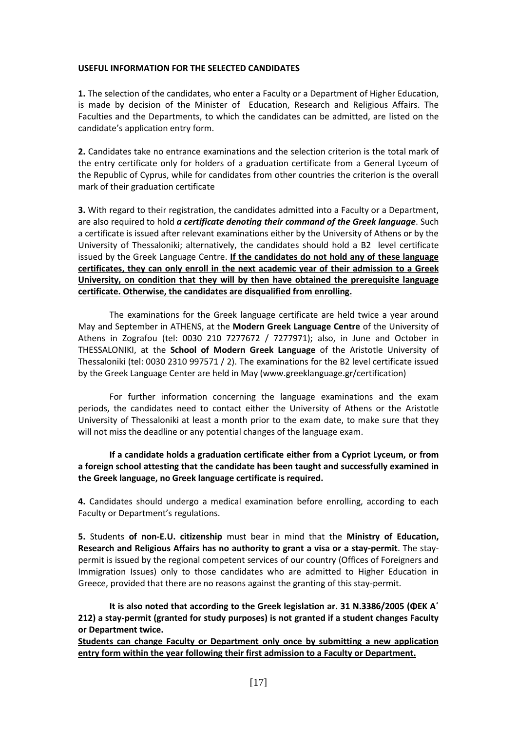#### **USEFUL INFORMATION FOR THE SELECTED CANDIDATES**

**1.** The selection of the candidates, who enter a Faculty or a Department of Higher Education, is made by decision of the Minister of Education, Research and Religious Affairs. The Faculties and the Departments, to which the candidates can be admitted, are listed on the candidate's application entry form.

**2.** Candidates take no entrance examinations and the selection criterion is the total mark of the entry certificate only for holders of a graduation certificate from a General Lyceum of the Republic of Cyprus, while for candidates from other countries the criterion is the overall mark of their graduation certificate

**3.** With regard to their registration, the candidates admitted into a Faculty or a Department, are also required to hold *a certificate denoting their command of the Greek language*. Such a certificate is issued after relevant examinations either by the University of Athens or by the University of Thessaloniki; alternatively, the candidates should hold a B2 level certificate issued by the Greek Language Centre. **If the candidates do not hold any of these language certificates, they can only enroll in the next academic year of their admission to a Greek University, on condition that they will by then have obtained the prerequisite language certificate. Otherwise, the candidates are disqualified from enrolling.**

The examinations for the Greek language certificate are held twice a year around May and September in ATHENS, at the **Modern Greek Language Centre** of the University of Athens in Zografou (tel: 0030 210 7277672 / 7277971); also, in June and October in THESSALONIKI, at the **School of Modern Greek Language** of the Aristotle University of Thessaloniki (tel: 0030 2310 997571 / 2). The examinations for the B2 level certificate issued by the Greek Language Center are held in May (www.greeklanguage.gr/certification)

For further information concerning the language examinations and the exam periods, the candidates need to contact either the University of Athens or the Aristotle University of Thessaloniki at least a month prior to the exam date, to make sure that they will not miss the deadline or any potential changes of the language exam.

**If a candidate holds a graduation certificate either from a Cypriot Lyceum, or from a foreign school attesting that the candidate has been taught and successfully examined in the Greek language, no Greek language certificate is required.**

**4.** Candidates should undergo a medical examination before enrolling, according to each Faculty or Department's regulations.

**5.** Students **of non-E.U. citizenship** must bear in mind that the **Ministry of Education, Research and Religious Affairs has no authority to grant a visa or a stay-permit**. The staypermit is issued by the regional competent services of our country (Offices of Foreigners and Immigration Issues) only to those candidates who are admitted to Higher Education in Greece, provided that there are no reasons against the granting of this stay-permit.

**It is also noted that according to the Greek legislation ar. 31 N.3386/2005 (ΦΕΚ Α΄ 212) a stay-permit (granted for study purposes) is not granted if a student changes Faculty or Department twice.** 

**Students can change Faculty or Department only once by submitting a new application entry form within the year following their first admission to a Faculty or Department.**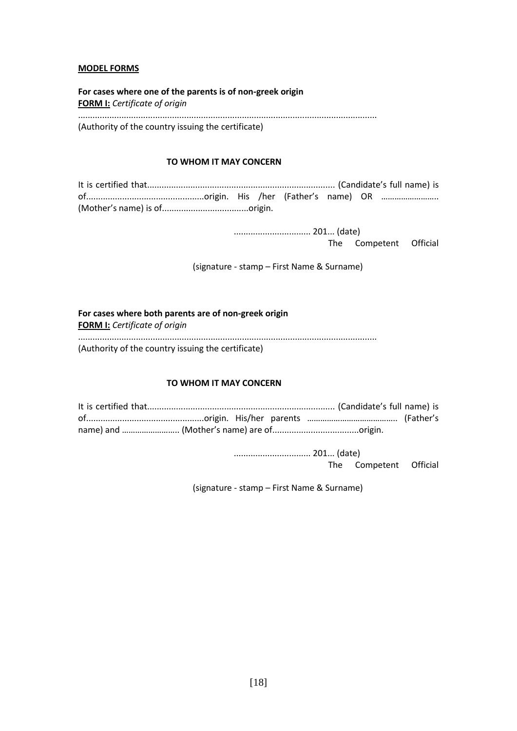### **MODEL FORMS**

**For cases where one of the parents is of non-greek origin FORM Ι:** *Certificate of origin* ............................................................................................................................ (Authority of the country issuing the certificate)

#### **TO WHOM IT MAY CONCERN**

 ................................ 201... (date) The Competent Official

(signature - stamp – First Name & Surname)

# **For cases where both parents are of non-greek origin**

**FORM Ι:** *Certificate of origin*

............................................................................................................................

(Authority of the country issuing the certificate)

#### **TO WHOM IT MAY CONCERN**

 ................................ 201... (date) The Competent Official

(signature - stamp – First Name & Surname)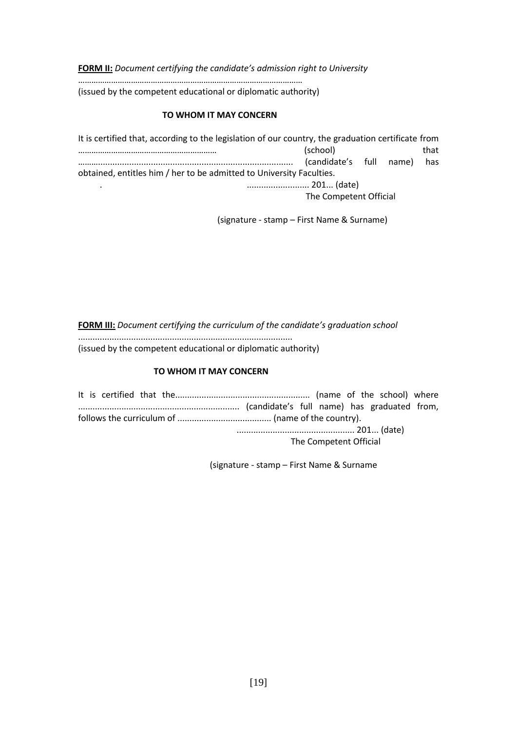**FORM II:** Document certifying the candidate's admission right to University

…………………………………………………………………………………………

(issued by the competent educational or diplomatic authority)

## **TO WHOM IT MAY CONCERN**

| It is certified that, according to the legislation of our country, the graduation certificate from |                         |  |  |      |  |
|----------------------------------------------------------------------------------------------------|-------------------------|--|--|------|--|
|                                                                                                    | (school)                |  |  | that |  |
|                                                                                                    | (candidate's full name) |  |  | has  |  |
| obtained, entitles him / her to be admitted to University Faculties.                               |                         |  |  |      |  |
|                                                                                                    | 201 (date)              |  |  |      |  |
|                                                                                                    | The Competent Official  |  |  |      |  |

(signature - stamp – First Name & Surname)

**FORM III:** *Document certifying the curriculum of the candidate's graduation school* ......................................................................................... (issued by the competent educational or diplomatic authority)

## **TO WHOM IT MAY CONCERN**

It is certified that the........................................................ (name of the school) where ................................................................... (candidate's full name) has graduated from, follows the curriculum of ....................................... (name of the country). ................................................. 201... (date) The Competent Official

(signature - stamp – First Name & Surname